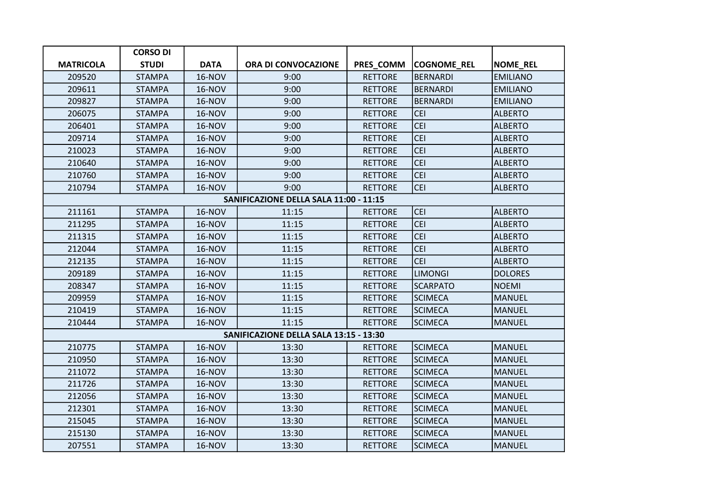|                                        | <b>CORSO DI</b> |               |                     |                |                    |                 |  |  |  |
|----------------------------------------|-----------------|---------------|---------------------|----------------|--------------------|-----------------|--|--|--|
| <b>MATRICOLA</b>                       | <b>STUDI</b>    | <b>DATA</b>   | ORA DI CONVOCAZIONE | PRES_COMM      | <b>COGNOME_REL</b> | <b>NOME_REL</b> |  |  |  |
| 209520                                 | <b>STAMPA</b>   | <b>16-NOV</b> | 9:00                | <b>RETTORE</b> | <b>BERNARDI</b>    | <b>EMILIANO</b> |  |  |  |
| 209611                                 | <b>STAMPA</b>   | 16-NOV        | 9:00                | <b>RETTORE</b> | <b>BERNARDI</b>    | <b>EMILIANO</b> |  |  |  |
| 209827                                 | <b>STAMPA</b>   | <b>16-NOV</b> | 9:00                | <b>RETTORE</b> | <b>BERNARDI</b>    | <b>EMILIANO</b> |  |  |  |
| 206075                                 | <b>STAMPA</b>   | 16-NOV        | 9:00                | <b>RETTORE</b> | <b>CEI</b>         | <b>ALBERTO</b>  |  |  |  |
| 206401                                 | <b>STAMPA</b>   | <b>16-NOV</b> | 9:00                | <b>RETTORE</b> | <b>CEI</b>         | <b>ALBERTO</b>  |  |  |  |
| 209714                                 | <b>STAMPA</b>   | <b>16-NOV</b> | 9:00                | <b>RETTORE</b> | <b>CEI</b>         | <b>ALBERTO</b>  |  |  |  |
| 210023                                 | <b>STAMPA</b>   | <b>16-NOV</b> | 9:00                | <b>RETTORE</b> | <b>CEI</b>         | <b>ALBERTO</b>  |  |  |  |
| 210640                                 | <b>STAMPA</b>   | <b>16-NOV</b> | 9:00                | <b>RETTORE</b> | <b>CEI</b>         | <b>ALBERTO</b>  |  |  |  |
| 210760                                 | <b>STAMPA</b>   | <b>16-NOV</b> | 9:00                | <b>RETTORE</b> | <b>CEI</b>         | <b>ALBERTO</b>  |  |  |  |
| 210794                                 | <b>STAMPA</b>   | 16-NOV        | 9:00                | <b>RETTORE</b> | <b>CEI</b>         | <b>ALBERTO</b>  |  |  |  |
| SANIFICAZIONE DELLA SALA 11:00 - 11:15 |                 |               |                     |                |                    |                 |  |  |  |
| 211161                                 | <b>STAMPA</b>   | <b>16-NOV</b> | 11:15               | <b>RETTORE</b> | CEI                | <b>ALBERTO</b>  |  |  |  |
| 211295                                 | <b>STAMPA</b>   | <b>16-NOV</b> | 11:15               | <b>RETTORE</b> | <b>CEI</b>         | <b>ALBERTO</b>  |  |  |  |
| 211315                                 | <b>STAMPA</b>   | 16-NOV        | 11:15               | <b>RETTORE</b> | <b>CEI</b>         | <b>ALBERTO</b>  |  |  |  |
| 212044                                 | <b>STAMPA</b>   | <b>16-NOV</b> | 11:15               | <b>RETTORE</b> | <b>CEI</b>         | <b>ALBERTO</b>  |  |  |  |
| 212135                                 | <b>STAMPA</b>   | <b>16-NOV</b> | 11:15               | <b>RETTORE</b> | <b>CEI</b>         | <b>ALBERTO</b>  |  |  |  |
| 209189                                 | <b>STAMPA</b>   | <b>16-NOV</b> | 11:15               | <b>RETTORE</b> | <b>LIMONGI</b>     | <b>DOLORES</b>  |  |  |  |
| 208347                                 | <b>STAMPA</b>   | <b>16-NOV</b> | 11:15               | <b>RETTORE</b> | <b>SCARPATO</b>    | <b>NOEMI</b>    |  |  |  |
| 209959                                 | <b>STAMPA</b>   | <b>16-NOV</b> | 11:15               | <b>RETTORE</b> | <b>SCIMECA</b>     | <b>MANUEL</b>   |  |  |  |
| 210419                                 | <b>STAMPA</b>   | <b>16-NOV</b> | 11:15               | <b>RETTORE</b> | <b>SCIMECA</b>     | <b>MANUEL</b>   |  |  |  |
| 210444                                 | <b>STAMPA</b>   | <b>16-NOV</b> | 11:15               | <b>RETTORE</b> | <b>SCIMECA</b>     | <b>MANUEL</b>   |  |  |  |
| SANIFICAZIONE DELLA SALA 13:15 - 13:30 |                 |               |                     |                |                    |                 |  |  |  |
| 210775                                 | <b>STAMPA</b>   | <b>16-NOV</b> | 13:30               | <b>RETTORE</b> | <b>SCIMECA</b>     | <b>MANUEL</b>   |  |  |  |
| 210950                                 | <b>STAMPA</b>   | <b>16-NOV</b> | 13:30               | <b>RETTORE</b> | <b>SCIMECA</b>     | <b>MANUEL</b>   |  |  |  |
| 211072                                 | <b>STAMPA</b>   | 16-NOV        | 13:30               | <b>RETTORE</b> | <b>SCIMECA</b>     | <b>MANUEL</b>   |  |  |  |
| 211726                                 | <b>STAMPA</b>   | <b>16-NOV</b> | 13:30               | <b>RETTORE</b> | <b>SCIMECA</b>     | <b>MANUEL</b>   |  |  |  |
| 212056                                 | <b>STAMPA</b>   | <b>16-NOV</b> | 13:30               | <b>RETTORE</b> | <b>SCIMECA</b>     | <b>MANUEL</b>   |  |  |  |
| 212301                                 | <b>STAMPA</b>   | <b>16-NOV</b> | 13:30               | <b>RETTORE</b> | <b>SCIMECA</b>     | <b>MANUEL</b>   |  |  |  |
| 215045                                 | <b>STAMPA</b>   | <b>16-NOV</b> | 13:30               | <b>RETTORE</b> | <b>SCIMECA</b>     | <b>MANUEL</b>   |  |  |  |
| 215130                                 | <b>STAMPA</b>   | <b>16-NOV</b> | 13:30               | <b>RETTORE</b> | <b>SCIMECA</b>     | <b>MANUEL</b>   |  |  |  |
| 207551                                 | <b>STAMPA</b>   | <b>16-NOV</b> | 13:30               | <b>RETTORE</b> | <b>SCIMECA</b>     | <b>MANUEL</b>   |  |  |  |